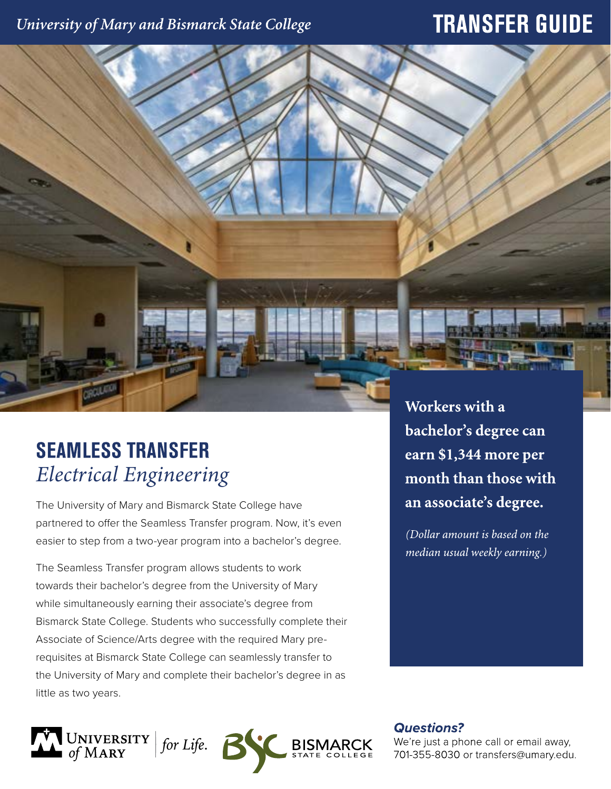# University of Mary and Bismarck State College

# **TRANSFER GUIDE**



# **SEAMLESS TRANSFER** *Electrical Engineering*

The University of Mary and Bismarck State College have partnered to offer the Seamless Transfer program. Now, it's even easier to step from a two-year program into a bachelor's degree.

The Seamless Transfer program allows students to work towards their bachelor's degree from the University of Mary while simultaneously earning their associate's degree from Bismarck State College. Students who successfully complete their Associate of Science/Arts degree with the required Mary prerequisites at Bismarck State College can seamlessly transfer to the University of Mary and complete their bachelor's degree in as little as two years.



Workers with a bachelor's degree can earn \$1,344 more per month than those with an associate's degree.

(Dollar amount is based on the median usual weekly earning.)

**Questions?** 

We're just a phone call or email away, 701-355-8030 or transfers@umary.edu.